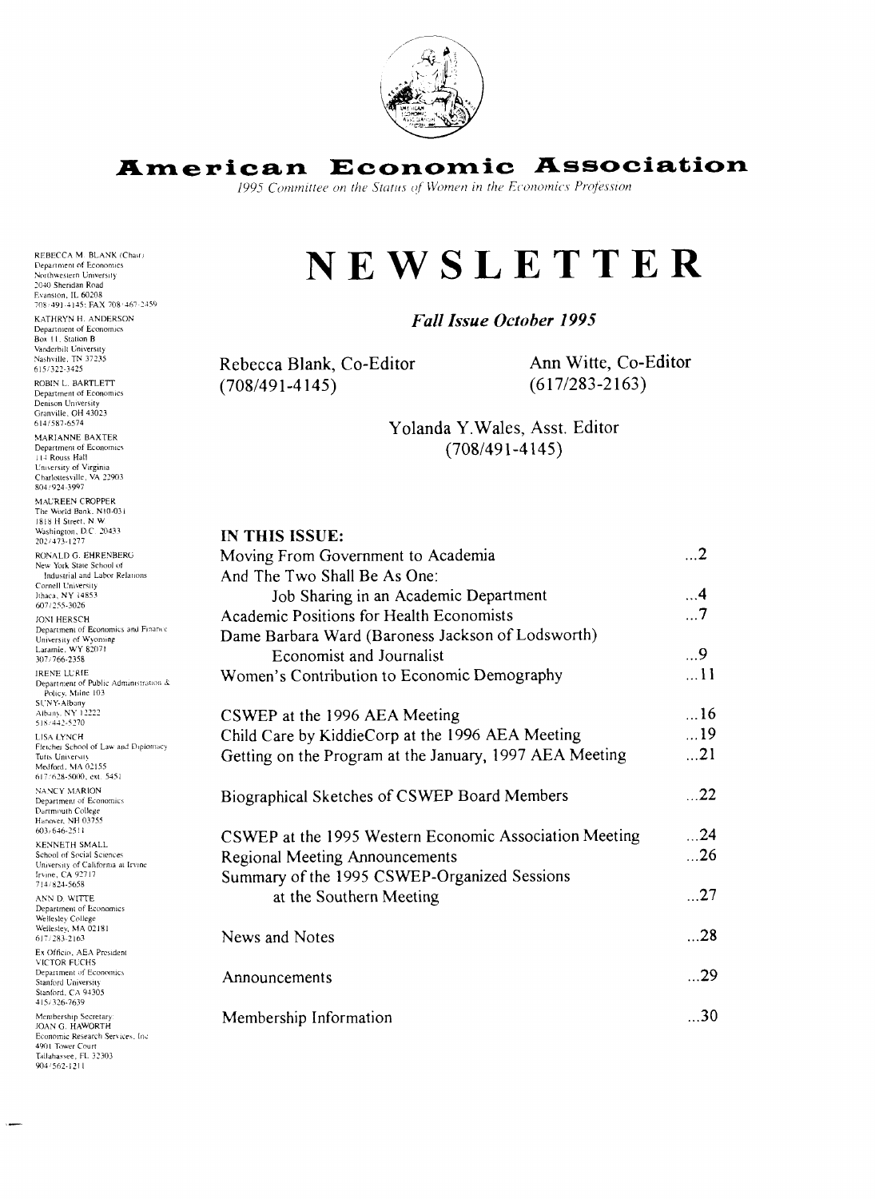

#### **Association American Economic**

1995 Committee on the Status of Women in the Economics Profession

NEWSLETTER

**Fall Issue October 1995** 

Rebecca Blank, Co-Editor  $(708/491 - 4145)$ 

Ann Witte, Co-Editor  $(617/283 - 2163)$ 

Yolanda Y. Wales, Asst. Editor  $(708/491 - 4145)$ 

| Moving From Government to Academia                      | . 2           |
|---------------------------------------------------------|---------------|
|                                                         |               |
| And The Two Shall Be As One:                            |               |
| Job Sharing in an Academic Department                   | $\mathbf{.4}$ |
| <b>Academic Positions for Health Economists</b>         | $\sqrt{7}$    |
| Dame Barbara Ward (Baroness Jackson of Lodsworth)       |               |
| <b>Economist and Journalist</b>                         | .9            |
| Women's Contribution to Economic Demography             | 11            |
| CSWEP at the 1996 AEA Meeting                           | 16            |
| Child Care by KiddieCorp at the 1996 AEA Meeting        | 19            |
| Getting on the Program at the January, 1997 AEA Meeting | $\dots 21$    |
| Biographical Sketches of CSWEP Board Members            | $\ldots$ 22   |
| CSWEP at the 1995 Western Economic Association Meeting  | 24            |
| <b>Regional Meeting Announcements</b>                   | $\ldots$ 26   |
| Summary of the 1995 CSWEP-Organized Sessions            |               |
| at the Southern Meeting                                 | $\ldots$ 27   |
| News and Notes                                          | $\ldots$ 28   |
| Announcements                                           | $\ldots$ 29   |
| Membership Information                                  | $\ldots$ 30   |

REBECCA M. BLANK (Chair) Department of Economics Northwestern University<br>2040 Sheridan Road Evanston, IL 60208<br>708/491-4145; FAX 708/467-2459

KATHRYN H. ANDERSON Department of Economics Box 11, Station B Vanderbilt University Nashville, TN 37235<br>615/322-3425

ROBIN L. BARTLETT Department of Economics Denison University<br>Granville, OH 43023 614/587-6574

MARIANNE BAXTER Department of Economics<br>114 Rouss Hall University of Virginia<br>Charlottesville, VA 22903 804/924-3997

MAUREEN CROPPER The World Bank, N10-031<br>1818 H Street, N.W. Washington, D.C. 20433<br>2027473-1277

RONALD G. EHRENBERG New York State School of Industrial and Labor Relations

Cornell University<br>Ithaca, NY 14853<br>607/255-3026

JONI HERSCH Department of Economics and Finance University of Wyoming<br>Laramie, WY 82071

307/766-2358 **IRENE LURIE** Department of Public Administration &<br>Policy, Milne 103

SUNY-Albany<br>Albany, NY 12222<br>518/442-5270 LISA LYNCH Fletcher School of Law and Diplomacy<br>Tufts University

Medford, MA 02155 617/628-5000, ext. 5451

**NANCY MARION** Department of Economics Dartmouth College Hanover, NH 03755

 $603/646-2511$ KENNETH SMALL

School of Social Sciences<br>University of Califorma at Irvine Irvine, CA 92717<br>714/824-5658

ANN D. WITTE Department of Economics Wellesley College<br>Wellesley, MA 02181<br>617/283-2163

Ex Officio. AEA President **VICTOR FUCHS** Department of Economics

Stanford University Stanford, CA 94305 415/326-7639 Membership Secretary

JOAN G. HAWORTH Economic Research Services, Inc. 4901 Tower Court Tailahassee, FL 32303 904/562-1211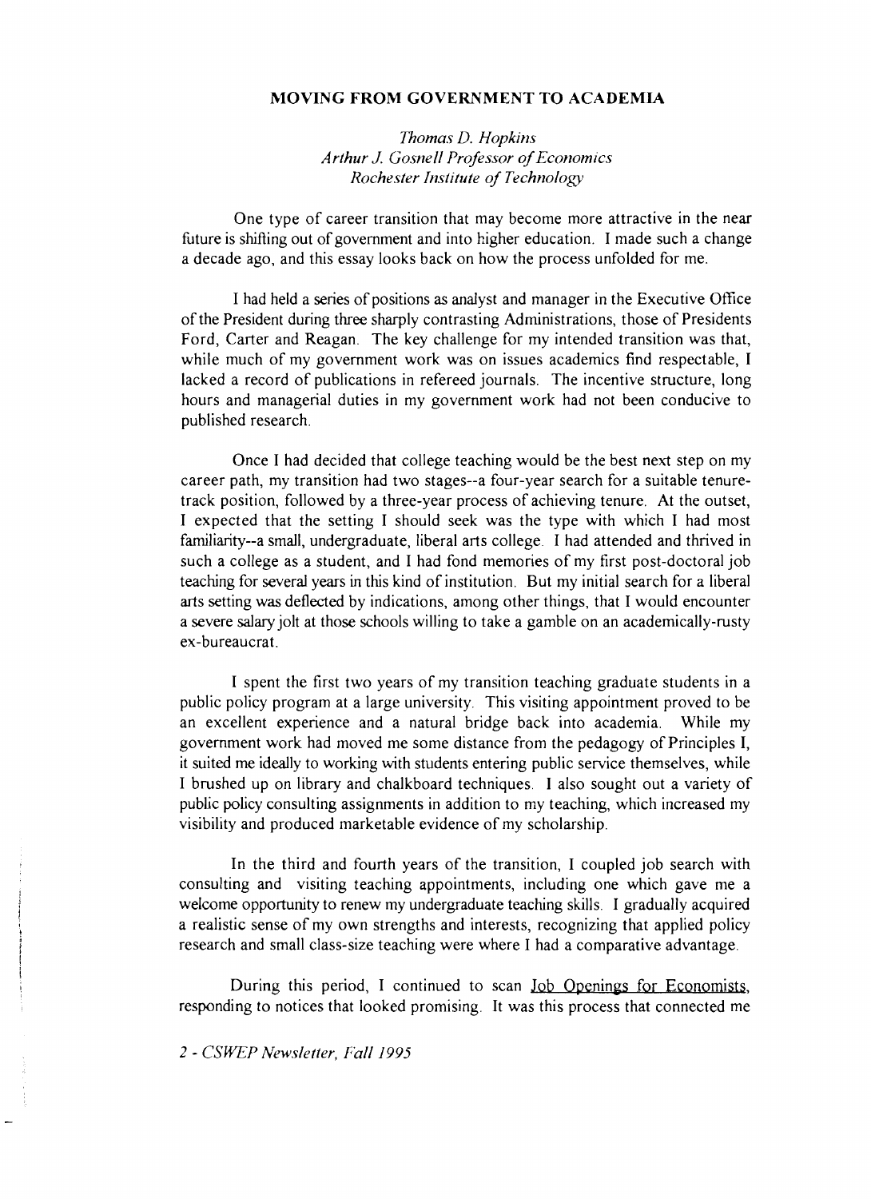### **MOVING FROM GOVERNMENT TO ACADEMIA**

*Thomas D. Hopkins* **Arthur J. Gosnell Professor of Economics** *Rochester Institute of Technology* 

One type of career transition that may become more attractive in the near future is shifting out of government and into higher education. I made such a change a decade ago, and this essay looks back on how the process unfolded for me.

I had held a series of positions as analyst and manager in the Executive Ofice of the President during three sharply contrasting Administrations, those of Presidents Ford, Carter and Reagan. The key challenge for my intended transition was that, while much of my government work was on issues academics find respectable, I lacked a record of publications in refereed journals. The incentive structure, long hours and managerial duties in my government work had not been conducive to published research.

Once I had decided that college teaching would be the best next step on my career path, my transition had two stages--a four-year search for a suitable tenuretrack position, followed by a three-year process of achieving tenure. At the outset, I expected that the setting I should seek was the type with which I had most familiarity--a small, undergraduate, liberal arts college. I had attended and thrived in such a college as a student, and I had fond memories of my first post-doctoral job teaching for several years in this kind of institution. But my initial search for a liberal arts setting was deflected by indications, among other things, that I would encounter a severe salary jolt at those schools willing to take a gamble on an academically-rusty ex-bureaucrat.

I spent the first two years of my transition teaching graduate students in a public policy program at a large university. This visiting appointment proved to be an excellent experience and a natural bridge back into academia. While my government work had moved me some distance from the pedagogy of Principles I, it suited me ideally to working with students entering public service themselves, while I brushed up on library and chalkboard techniques. I also sought out a variety of public policy consulting assignments in addition to my teaching, which increased my visibility and produced marketable evidence of my scholarship.

In the third and fourth years of the transition, I coupled job search with consulting and visiting teaching appointments, including one which gave me a welcome opportunity to renew my undergraduate teaching skills. I gradually acquired a realistic sense of my own strengths and interests, recognizing that applied policy research and small class-size teaching were where I had a comparative advantage.

During this period, I continued to scan Job Openings for Economists, responding to notices that looked promising. It was this process that connected me

## *2* - *CSEP Newsletter, Fall 1995*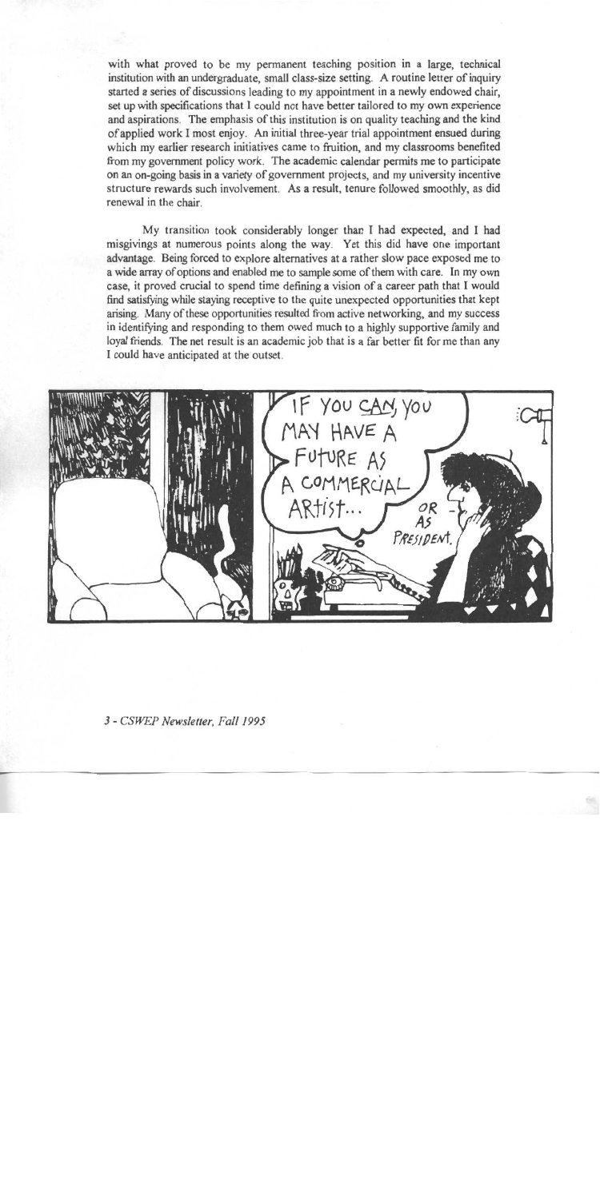with what proved to be my permanent teaching position in a large, technical institution with an undergraduate, small class-size setting. A routine letter of inquiry started a series of discussions leading to my appointment in a newly endowed chair, set up with specifications that I could not have better tailored to my own experience and aspirations. The emphasis of this institution is on quality teaching and the kind of applied work I most enjoy. An initial three-year trial appointment ensued during which my earlier research initiatives came to fruition, and my classrooms benefited from my government policy work. The academic calendar permits me to participate on an on-going basis in a variety of government projects, and my university incentive structure rewards such involvement. As a result, tenure followed smoothly, as did renewal in the chair.

My transition took considerably longer than I had expected, and I had misgivings at numerous points along the way. Yet this did have one important advantage. Being forced to explore alternatives at a rather slow pace exposed me to a wide array of options and enabled me to sample some of them with care. In my own case, it proved crucial to spend time defining a vision of a career path that I would find satisfying while staying receptive to the quite unexpected opportunities that kept arising. Many of these opportunities resulted from active networking, and my success in identifying and responding to them owed much to a highly supportive family and loyal friends. The net result is an academic job that is a far better fit for me than any I could have anticipated at the outset.



3 - CSWEP Newsletter, Fall 1995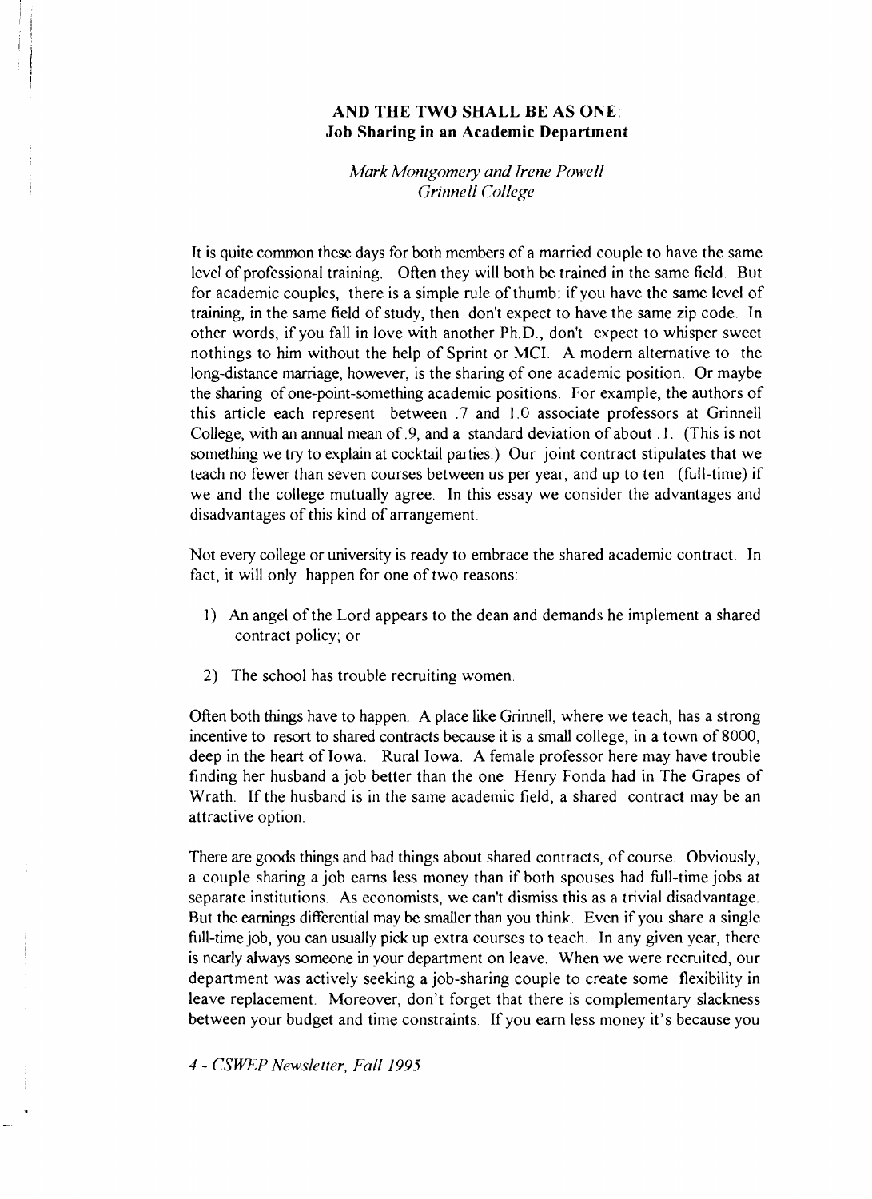# **AND THE TWO SHALL BE AS ONE: Job Sharing in an Academic Department**

*Murk Montgomery and Irene Powell Grinnell College* 

It is quite common these days for both members of a married couple to have the same level of professional training. Often they will both be trained in the same field. But for academic couples, there is a simple rule of thumb: if you have the same level of training, in the same field of study, then don't expect to have the same zip code. In other words, if you fall in love with another Ph.D., don't expect to whisper sweet nothings to him without the help of Sprint or MCI. A modern alternative to the long-distance marriage, however, is the sharing of one academic position. Or maybe the sharing of one-point-something academic positions. For example, the authors of this article each represent between .7 and I .O associate professors at Grinnell College, with an annual mean of .9, and a standard deviation of about . I. (This is not something we try to explain at cocktail parties.) Our joint contract stipulates that we teach no fewer than seven courses between us per year, and up to ten (full-time) if we and the college mutually agree. In this essay we consider the advantages and disadvantages of this kind of arrangement.

Not every college or university is ready to embrace the shared academic contract. In fact, it will only happen for one of two reasons:

- I) An angel of the Lord appears to the dean and demands he implement a shared contract policy; or
- 2) The school has trouble recruiting women.

Often both things have to happen. A place like Grinnell, where we teach, has a strong incentive to resort to shared contracts because it is a small college, in a town of 8000, deep in the heart of Iowa. Rural Iowa. A female professor here may have trouble finding her husband a job better than the one Henry Fonda had in The Grapes of Wrath. If the husband is in the same academic field, a shared contract may be an attractive option.

There are goods things and bad things about shared contracts, of course. Obviously, a couple sharing a job earns less money than if both spouses had full-time jobs at separate institutions. As economists, we can't dismiss this as a trivial disadvantage. But the earnings differential may be smaller than you think. Even if you share a single full-time job, you can usually pick up extra courses to teach. In any given year, there is nearly always someone in your department on leave. When we were recruited, our department was actively seeking a job-sharing couple to create some flexibility in leave replacement. Moreover, don't forget that there is complementary slackness between your budget and time constraints. If you earn less money it's because you

## *4* - *CSWEP Newsletter. Fall 1995*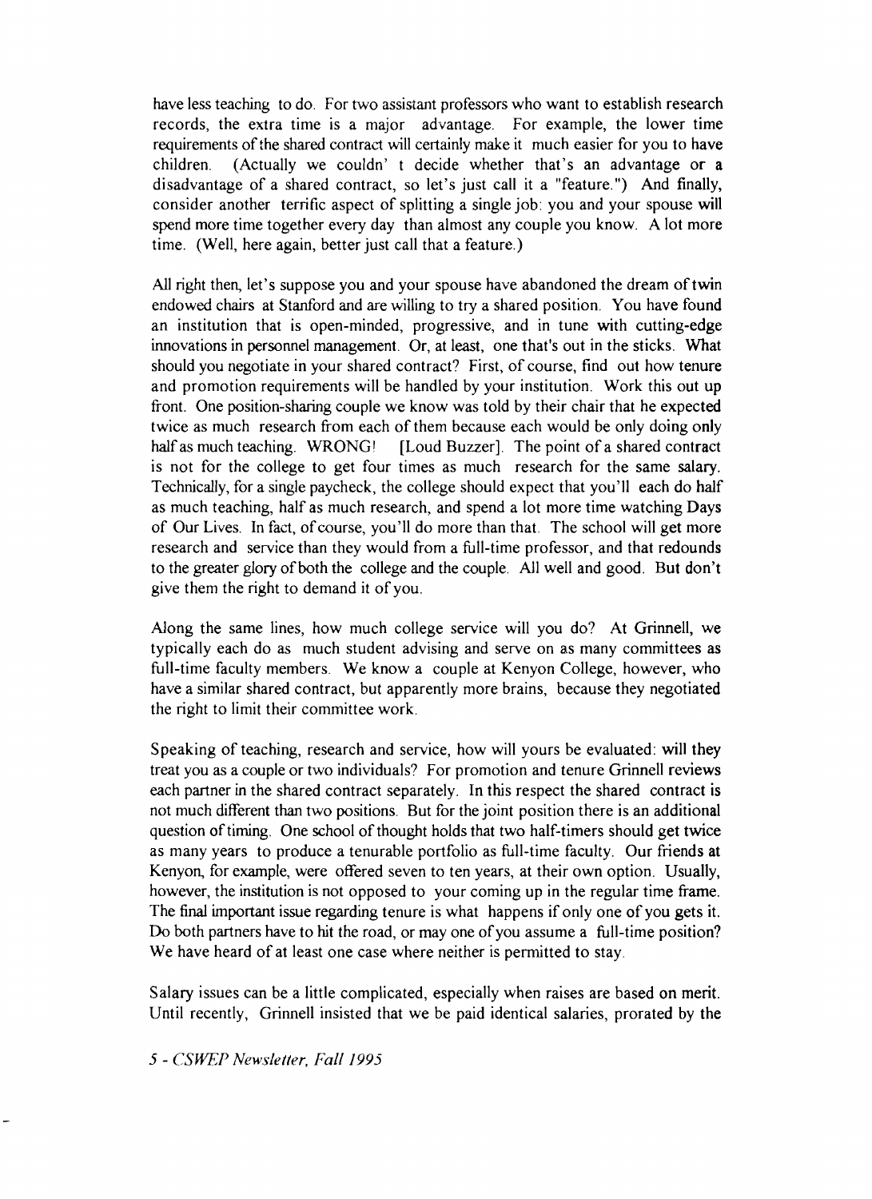have less teaching to do. For two assistant professors who want to establish research records, the extra time is a major advantage. For example, the lower time requirements of the shared contract will certainly make it much easier for you to have children. (Actually we couldn' t decide whether that's an advantage or a disadvantage of a shared contract, so let's just call it a "feature.") And finally, consider another terrific aspect of splitting a single job: you and your spouse will spend more time together every day than almost any couple you know. A lot more time. (Well, here again, better just call that a feature.)

All right then, let's suppose you and your spouse have abandoned the dream of twin endowed chairs at Stanford and are willing to try a shared position. You have found an institution that is open-minded, progressive, and in tune with cutting-edge innovations in personnel management. Or, at least, one that's out in the sticks. What should you negotiate in your shared contract? First, of course, find out how tenure and promotion requirements will be handled by your institution. Work this out up front. One position-sharing couple we know was told by their chair that he expected twice as much research from each of them because each would be only doing only half as much teaching. WRONG! [Loud Buzzer]. The point of a shared contract is not for the college to get four times as much research for the same salary. Technically, for a single paycheck, the college should expect that you'll each do half as much teaching, half as much research, and spend a lot more time watching Days of Our Lives. In fact, of course, you'll do more than that. The school will get more research and service than they would from a full-time professor, and that redounds to the greater glory of both the college and the couple. All well and good. But don't give them the right to demand it of you.

Along the same lines, how much college service will you do? At Grinnell, we typically each do as much student advising and serve on as many committees as full-time faculty members. We know a couple at Kenyon College, however, who have a similar shared contract, but apparently more brains, because they negotiated the right to limit their committee work.

Speaking of teaching, research and service, how will yours be evaluated: will they treat you **as** a couple or two individuals? For promotion and tenure Grinnell reviews each partner in the shared contract separately. In this respect the shared contract is not much different than two positions. But for the joint position there is an additional question of timing. One school of thought holds that two half-timers should get twice as many years to produce a tenurable portfolio as full-time faculty. Our friends at Kenyon, for example, were offered seven to ten years, at their own option. Usually, however, the institution is not opposed to your coming up in the regular time frame. The final important issue regarding tenure is what happens if only one of you gets it. Do both partners have to hit the road, or may one of you assume a full-time position? We have heard of at least one case where neither is permitted to stay.

Salary issues can be a little complicated, especially when raises are based on merit. Until recently, Grinnell insisted that we be paid identical salaries, prorated by the

*5* - CSWW *Newsletter. Fa16 199.5*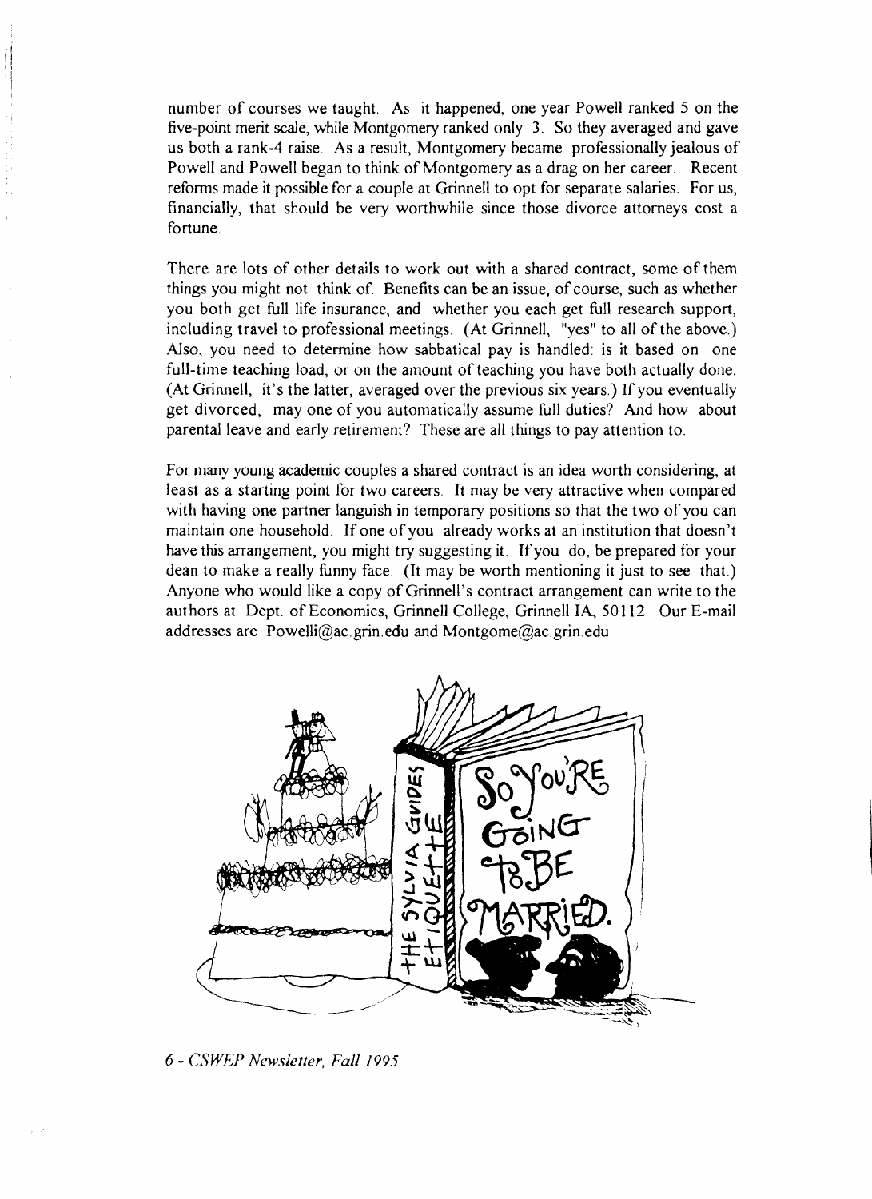number of courses we taught. As it happened, one year Powell ranked 5 on the five-point merit scale, while Montgomery ranked only **3.** So they averaged and gave us both a rank-4 raise. As a result, Montgomery became professionally jealous of Powell and Powell began to think of Montgomery as a drag on her career. Recent reforms made it possible for a couple at Grimell to opt for separate salaries. For us, financially, that should be very worthwhile since those divorce attorneys cost a fortune.

There are lots of other details to work out with a shared contract, some of them things you might not think of. Benefits can be an issue, of course, such as whether you both get full life insurance, and whether you each get full research support, including travel to professional meetings. (At Grinnell, "yes" to all of the above.) Also, you need to determine how sabbatical pay is handled: is it based on one full-time teaching load, or on the amount of teaching you have both actually done. (At Grinnell, it's the latter, averaged over the previous six years.) If you eventually get divorced, may one of you automatically assume full duties? And how about parental leave and early retirement? These are all things to pay attention to.

For many young academic couples a shared contract is an idea worth considering, at least as a starting point for two careers. It may be very attractive when compared with having one partner languish in temporary positions so that the two of you can maintain one household. If one of you already works at an institution that doesn't have this arrangement, you might try suggesting it. If you do, be prepared for your dean to make a really funny face. (It may be worth mentioning it just to see that.) Anyone who would like a copy of Grinnell's contract arrangement can write to the authors at Dept. of Economics, Grinnell College, Grinnell IA, 50112. Our E-mail addresses are Powelli@ac.grin.edu and Montgome@ac.grin.edu



6 - *CSWP Newsletter, Fall* **1995**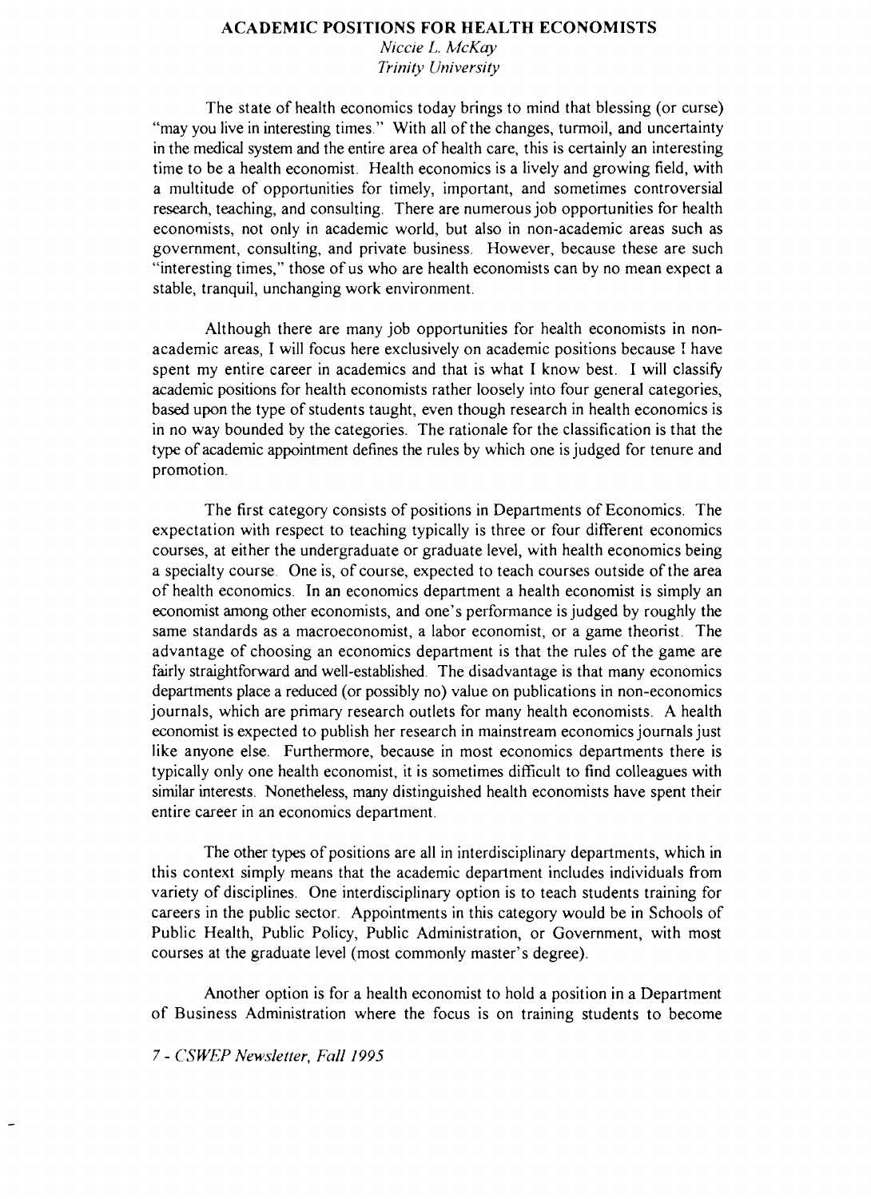### **ACADEMIC POSITIONS FOR HEALTH ECONOMISTS**

*Niccre* **L.** *McKay Trinity University* 

The state of health economics today brings to mind that blessing (or curse) "may you live in interesting times." With all of the changes, turmoil, and uncertainty in the medical system and the entire area of health care, this is certainly an interesting time to be a health economist. Health economics is a lively and growing field, with a multitude of opportunities for timely, important, and sometimes controversial research, teaching, and consulting. There are numerous job opportunities for health economists, not only in academic world, but also in non-academic areas such as government, consulting, and private business. However, because these are such "interesting times," those of us who are health economists can by no mean expect a stable, tranquil, unchanging work environment.

Although there are many job opportunities for health economists in nonacademic areas, I will focus here exclusively on academic positions because I have spent my entire career in academics and that is what I know best. I will classify academic positions for health economists rather loosely into four general categories, based upon the type of students taught, even though research in health economics is in no way bounded by the categories. The rationale for the classification is that the type of academic appointment defines the rules by which one is judged for tenure and promotion.

The first category consists of positions in Departments of Economics. The expectation with respect to teaching typically is three or four different economics courses, at either the undergraduate or graduate level, with health economics being a specialty course. One is, of course, expected to teach courses outside of the area of health economics. In an economics department a health economist is simply an economist among other economists, and one's performance is judged by roughly the same standards as a macroeconomist, a labor economist, or a game theorist. The advantage of choosing an economics department is that the rules of the game are fairly straightforward and well-established. The disadvantage is that many economics departments place a reduced (or possibly no) value on publications in non-economics journals, which are primary research outlets for many health economists. A health economist is expected to publish her research in mainstream economics journals just like anyone else. Furthermore, because in most economics departments there is typically only one health economist, it is sometimes difficult to find colleagues with similar interests. Nonetheless, many distinguished health economists have spent their entire career in an economics department.

The other types of positions are all in interdisciplinary departments, which in this context simply means that the academic department includes individuals from variety of disciplines. One interdisciplinary option is to teach students training for careers in the public sector. Appointments in this category would be in Schools of Public Health, Public Policy, Public Administration, or Government, with most courses at the graduate level (most commonly master's degree).

Another option is for a health economist to hold a position in a Department of Business Administration where the focus is on training students to become

# *7* - *CSWEP Newsletter, Fall 1995*